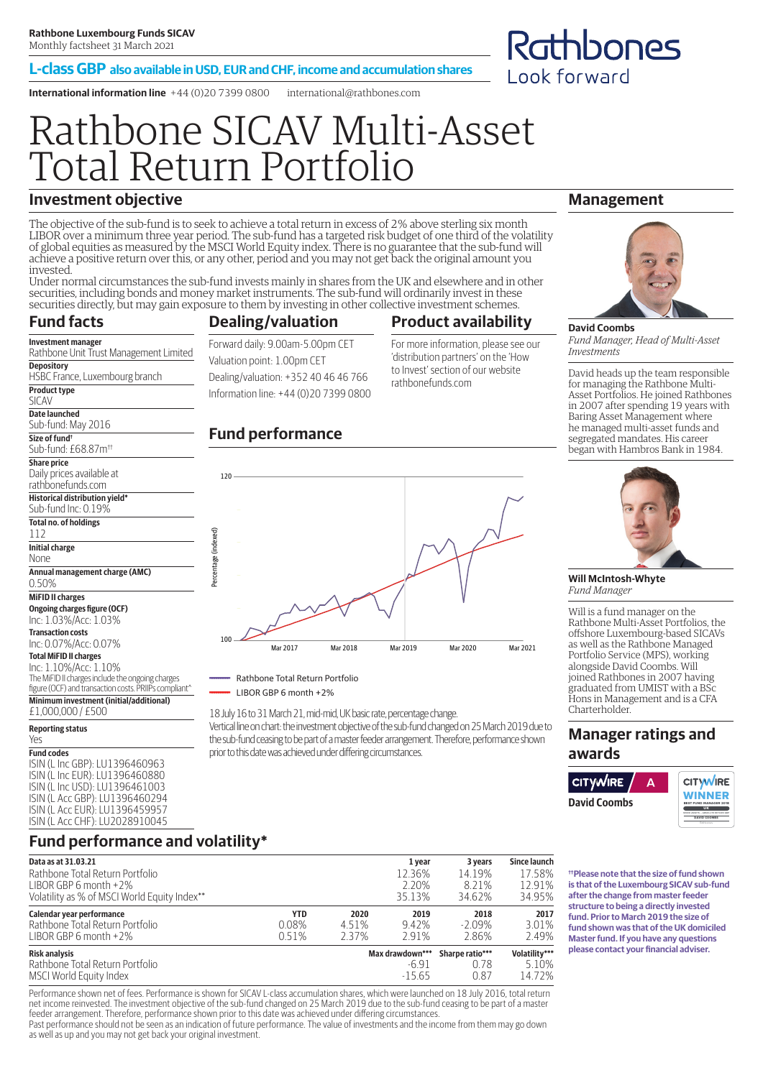#### **L-class GBP also available in USD, EUR and CHF, income and accumulation shares**

**International information line** +44 (0)20 7399 0800 international@rathbones.com

# Rathbone SICAV Multi-Asset Total Return Portfolio

### **Investment objective**

Rathbone Unit Trust Management Limited

HSBC France, Luxembourg branch

The objective of the sub-fund is to seek to achieve a total return in excess of 2% above sterling six month LIBOR over a minimum three year period. The sub-fund has a targeted risk budget of one third of the volatility of global equities as measured by the MSCI World Equity index. There is no guarantee that the sub-fund will achieve a positive return over this, or any other, period and you may not get back the original amount you invested.

Under normal circumstances the sub-fund invests mainly in shares from the UK and elsewhere and in other securities, including bonds and money market instruments. The sub-fund will ordinarily invest in these securities directly, but may gain exposure to them by investing in other collective investment schemes.

#### **Fund facts Investment manager**

**Depository**

**Product type** SICAV **Date launched** Sub-fund: May 2016 **Size of fund†** Sub-fund: £68.87m††

### **Dealing/valuation**

Forward daily: 9.00am-5.00pm CET Valuation point: 1.00pm CET Dealing/valuation: +352 40 46 46 766 Information line: +44 (0)20 7399 0800

### **Fund performance**

120



For more information, please see our 'distribution partners' on the 'How to Invest' section of our website rathbonefunds.com

**Management**

Rathbones

Look forward



*Fund Manager, Head of Multi-Asset Investments*

David heads up the team responsible for managing the Rathbone Multi-Asset Portfolios. He joined Rathbones in 2007 after spending 19 years with Baring Asset Management where he managed multi-asset funds and segregated mandates. His career began with Hambros Bank in 1984.



**Will McIntosh-Whyte** *Fund Manager*

Will is a fund manager on the Rathbone Multi-Asset Portfolios, the offshore Luxembourg-based SICAVs as well as the Rathbone Managed Portfolio Service (MPS), working alongside David Coombs. Will joined Rathbones in 2007 having graduated from UMIST with a BSc Hons in Management and is a CFA Charterholder.

### **Manager ratings and awards**



**††Please note that the size of fund shown is that of the Luxembourg SICAV sub-fund after the change from master feeder structure to being a directly invested fund. Prior to March 2019 the size of fund shown was that of the UK domiciled Master fund. If you have any questions please contact your financial adviser.**

#### **Share price** Daily prices available at rathbonefunds.com **Historical distribution yield\*** Sub-fund Inc: 0.19% **Total no. of holdings** 112 **Initial charge** None **Annual management charge (AMC)** 0.50% **MiFID II charges Ongoing charges figure (OCF)** Inc: 1.03%/Acc: 1.03% **Transaction costs** Inc: 0.07%/Acc: 0.07% **Total MiFID II charges** Inc: 1.10%/Acc: 1.10% The MiFID II charges include the ongoing charges figure (OCF) and transaction costs. PRIIPs compliant^

**Minimum investment (initial/additional)**

£1,000,000 / £500

#### **Reporting status**

Yes **Fund codes** ISIN (L Inc GBP): LU1396460963 ISIN (L Inc EUR): LU1396460880 ISIN (L Inc USD): LU1396461003 ISIN (L Acc GBP): LU1396460294 ISIN (L Acc EUR): LU1396459957 ISIN (L Acc CHF): LU2028910045

### **Fund performance and volatility\***

| Data as at 31.03.21                          |       |       | 1 year          | 3 years         | Since launch  |
|----------------------------------------------|-------|-------|-----------------|-----------------|---------------|
| Rathbone Total Return Portfolio              |       |       | 12.36%          | 14.19%          | 17.58%        |
| LIBOR GBP 6 month $+2\%$                     |       |       | 2.20%           | 8.21%           | 12.91%        |
| Volatility as % of MSCI World Equity Index** |       |       | 35.13%          | 34.62%          | 34.95%        |
| Calendar year performance                    | YTD   | 2020  | 2019            | 2018            | 2017          |
| Rathbone Total Return Portfolio              | 0.08% | 4.51% | 9.42%           | $-2.09\%$       | 3.01%         |
| LIBOR GBP 6 month $+2\%$                     | 0.51% | 2.37% | 291%            | 2.86%           | 2.49%         |
| <b>Risk analysis</b>                         |       |       | Max drawdown*** | Sharpe ratio*** | Volatility*** |
| Rathbone Total Return Portfolio              |       |       | $-6.91$         | 0.78            | 5.10%         |
| MSCI World Equity Index                      |       |       | $-15.65$        | 0.87            | 14.72%        |

Performance shown net of fees. Performance is shown for SICAV L-class accumulation shares, which were launched on 18 July 2016, total return net income reinvested. The investment objective of the sub-fund changed on 25 March 2019 due to the sub-fund ceasing to be part of a master feeder arrangement. Therefore, performance shown prior to this date was achieved under differing circumstances.

Past performance should not be seen as an indication of future performance. The value of investments and the income from them may go down as well as up and you may not get back your original investment.



Rathbone Total Return Portfolio

LIBOR GBP 6 month +2%

18 July 16 to 31 March 21, mid-mid, UK basic rate, percentage change.

Vertical line on chart: the investment objective of the sub-fund changed on 25 March 2019 due to the sub-fund ceasing to be part of a master feeder arrangement. Therefore, performance shown prior to this date was achieved under differing circumstances.